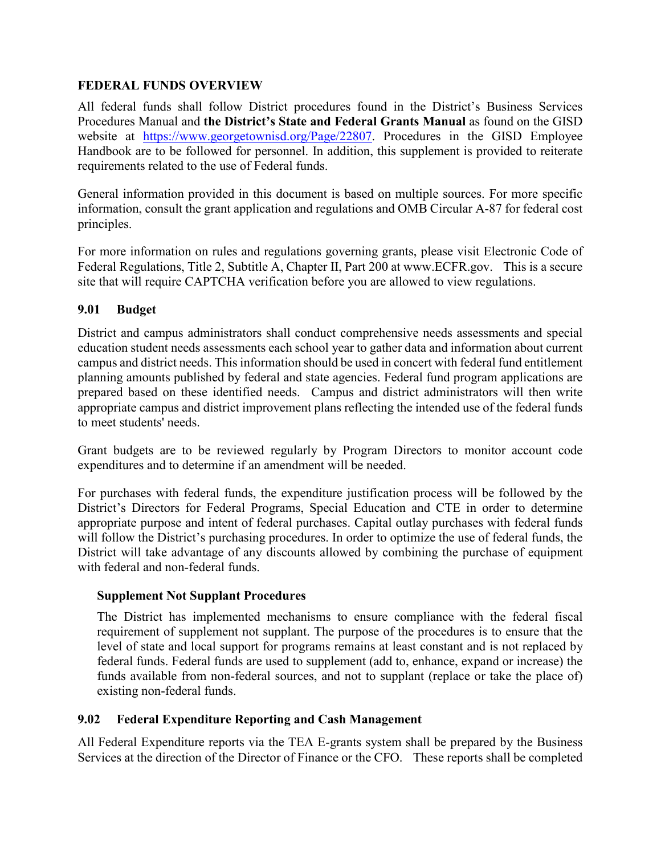# **FEDERAL FUNDS OVERVIEW**

All federal funds shall follow District procedures found in the District's Business Services Procedures Manual and **the District's State and Federal Grants Manual** as found on the GISD website at [https://www.georgetownisd.org/Page/22807.](https://www.georgetownisd.org/Page/22807) Procedures in the GISD Employee Handbook are to be followed for personnel. In addition, this supplement is provided to reiterate requirements related to the use of Federal funds.

General information provided in this document is based on multiple sources. For more specific information, consult the grant application and regulations and OMB Circular A-87 for federal cost principles.

For more information on rules and regulations governing grants, please visit Electronic Code of Federal Regulations, Title 2, Subtitle A, Chapter II, Part 200 at www.ECFR.gov. This is a secure site that will require CAPTCHA verification before you are allowed to view regulations.

## **9.01 Budget**

District and campus administrators shall conduct comprehensive needs assessments and special education student needs assessments each school year to gather data and information about current campus and district needs. This information should be used in concert with federal fund entitlement planning amounts published by federal and state agencies. Federal fund program applications are prepared based on these identified needs. Campus and district administrators will then write appropriate campus and district improvement plans reflecting the intended use of the federal funds to meet students' needs.

Grant budgets are to be reviewed regularly by Program Directors to monitor account code expenditures and to determine if an amendment will be needed.

For purchases with federal funds, the expenditure justification process will be followed by the District's Directors for Federal Programs, Special Education and CTE in order to determine appropriate purpose and intent of federal purchases. Capital outlay purchases with federal funds will follow the District's purchasing procedures. In order to optimize the use of federal funds, the District will take advantage of any discounts allowed by combining the purchase of equipment with federal and non-federal funds.

## **Supplement Not Supplant Procedures**

The District has implemented mechanisms to ensure compliance with the federal fiscal requirement of supplement not supplant. The purpose of the procedures is to ensure that the level of state and local support for programs remains at least constant and is not replaced by federal funds. Federal funds are used to supplement (add to, enhance, expand or increase) the funds available from non-federal sources, and not to supplant (replace or take the place of) existing non-federal funds.

## **9.02 Federal Expenditure Reporting and Cash Management**

All Federal Expenditure reports via the TEA E-grants system shall be prepared by the Business Services at the direction of the Director of Finance or the CFO. These reports shall be completed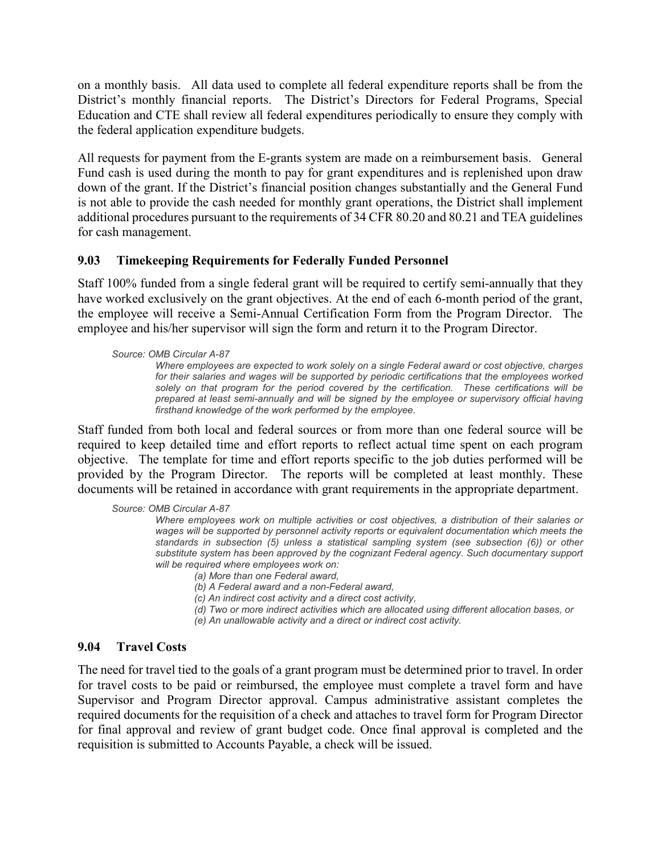on a monthly basis. All data used to complete all federal expenditure reports shall be from the District's monthly financial reports. The District's Directors for Federal Programs, Special Education and CTE shall review all federal expenditures periodically to ensure they comply with the federal application expenditure budgets.

All requests for payment from the E-grants system are made on a reimbursement basis. General Fund cash is used during the month to pay for grant expenditures and is replenished upon draw down of the grant. If the District's financial position changes substantially and the General Fund is not able to provide the cash needed for monthly grant operations, the District shall implement additional procedures pursuant to the requirements of 34 CFR 80.20 and 80.21 and TEA guidelines for cash management.

## **9.03 Timekeeping Requirements for Federally Funded Personnel**

Staff 100% funded from a single federal grant will be required to certify semi-annually that they have worked exclusively on the grant objectives. At the end of each 6-month period of the grant, the employee will receive a Semi-Annual Certification Form from the Program Director. The employee and his/her supervisor will sign the form and return it to the Program Director.

### *Source: OMB Circular A-87*

*Where employees are expected to work solely on a single Federal award or cost objective, charges for their salaries and wages will be supported by periodic certifications that the employees worked solely on that program for the period covered by the certification. These certifications will be prepared at least semi-annually and will be signed by the employee or supervisory official having firsthand knowledge of the work performed by the employee.* 

Staff funded from both local and federal sources or from more than one federal source will be required to keep detailed time and effort reports to reflect actual time spent on each program objective. The template for time and effort reports specific to the job duties performed will be provided by the Program Director. The reports will be completed at least monthly. These documents will be retained in accordance with grant requirements in the appropriate department.

### *Source: OMB Circular A-87*

*Where employees work on multiple activities or cost objectives, a distribution of their salaries or*  wages will be supported by personnel activity reports or equivalent documentation which meets the *standards in subsection (5) unless a statistical sampling system (see subsection (6)) or other substitute system has been approved by the cognizant Federal agency. Such documentary support will be required where employees work on:*

### *(a) More than one Federal award,*

*(b) A Federal award and a non-Federal award,*

*(c) An indirect cost activity and a direct cost activity,*

*(d) Two or more indirect activities which are allocated using different allocation bases, or*

*(e) An unallowable activity and a direct or indirect cost activity.* 

## **9.04 Travel Costs**

The need for travel tied to the goals of a grant program must be determined prior to travel. In order for travel costs to be paid or reimbursed, the employee must complete a travel form and have Supervisor and Program Director approval. Campus administrative assistant completes the required documents for the requisition of a check and attaches to travel form for Program Director for final approval and review of grant budget code. Once final approval is completed and the requisition is submitted to Accounts Payable, a check will be issued.